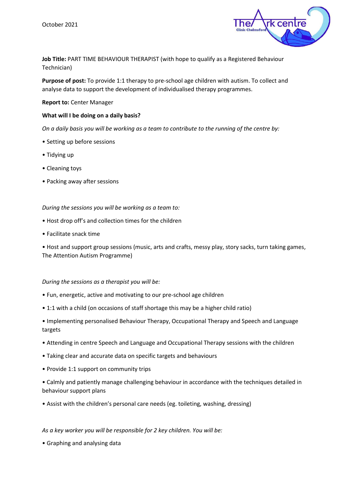

**Job Title:** PART TIME BEHAVIOUR THERAPIST (with hope to qualify as a Registered Behaviour Technician)

**Purpose of post:** To provide 1:1 therapy to pre-school age children with autism. To collect and analyse data to support the development of individualised therapy programmes.

**Report to:** Center Manager

# **What will I be doing on a daily basis?**

*On a daily basis you will be working as a team to contribute to the running of the centre by:* 

- Setting up before sessions
- Tidying up
- Cleaning toys
- Packing away after sessions

# *During the sessions you will be working as a team to:*

- Host drop off's and collection times for the children
- Facilitate snack time

• Host and support group sessions (music, arts and crafts, messy play, story sacks, turn taking games, The Attention Autism Programme)

# *During the sessions as a therapist you will be:*

- Fun, energetic, active and motivating to our pre-school age children
- 1:1 with a child (on occasions of staff shortage this may be a higher child ratio)
- Implementing personalised Behaviour Therapy, Occupational Therapy and Speech and Language targets
- Attending in centre Speech and Language and Occupational Therapy sessions with the children
- Taking clear and accurate data on specific targets and behaviours
- Provide 1:1 support on community trips

• Calmly and patiently manage challenging behaviour in accordance with the techniques detailed in behaviour support plans

• Assist with the children's personal care needs (eg. toileting, washing, dressing)

*As a key worker you will be responsible for 2 key children. You will be:* 

• Graphing and analysing data